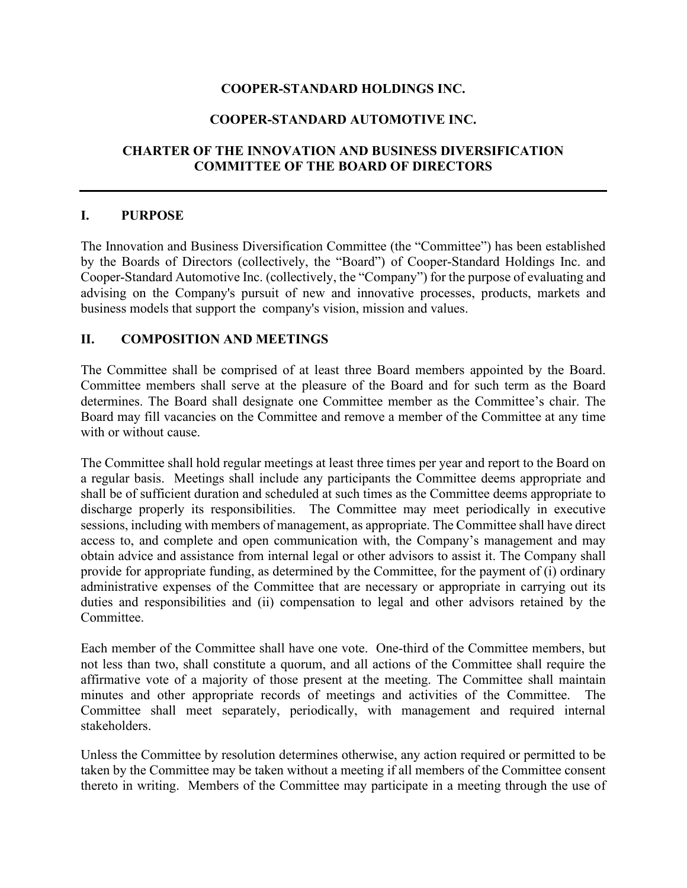## **COOPER-STANDARD HOLDINGS INC.**

### **COOPER-STANDARD AUTOMOTIVE INC.**

# **CHARTER OF THE INNOVATION AND BUSINESS DIVERSIFICATION COMMITTEE OF THE BOARD OF DIRECTORS**

#### **I. PURPOSE**

The Innovation and Business Diversification Committee (the "Committee") has been established by the Boards of Directors (collectively, the "Board") of Cooper-Standard Holdings Inc. and Cooper-Standard Automotive Inc. (collectively, the "Company") for the purpose of evaluating and advising on the Company's pursuit of new and innovative processes, products, markets and business models that support the company's vision, mission and values.

#### **II. COMPOSITION AND MEETINGS**

The Committee shall be comprised of at least three Board members appointed by the Board. Committee members shall serve at the pleasure of the Board and for such term as the Board determines. The Board shall designate one Committee member as the Committee's chair. The Board may fill vacancies on the Committee and remove a member of the Committee at any time with or without cause.

The Committee shall hold regular meetings at least three times per year and report to the Board on a regular basis. Meetings shall include any participants the Committee deems appropriate and shall be of sufficient duration and scheduled at such times as the Committee deems appropriate to discharge properly its responsibilities. The Committee may meet periodically in executive sessions, including with members of management, as appropriate. The Committee shall have direct access to, and complete and open communication with, the Company's management and may obtain advice and assistance from internal legal or other advisors to assist it. The Company shall provide for appropriate funding, as determined by the Committee, for the payment of (i) ordinary administrative expenses of the Committee that are necessary or appropriate in carrying out its duties and responsibilities and (ii) compensation to legal and other advisors retained by the Committee.

Each member of the Committee shall have one vote. One-third of the Committee members, but not less than two, shall constitute a quorum, and all actions of the Committee shall require the affirmative vote of a majority of those present at the meeting. The Committee shall maintain minutes and other appropriate records of meetings and activities of the Committee. The Committee shall meet separately, periodically, with management and required internal stakeholders.

Unless the Committee by resolution determines otherwise, any action required or permitted to be taken by the Committee may be taken without a meeting if all members of the Committee consent thereto in writing. Members of the Committee may participate in a meeting through the use of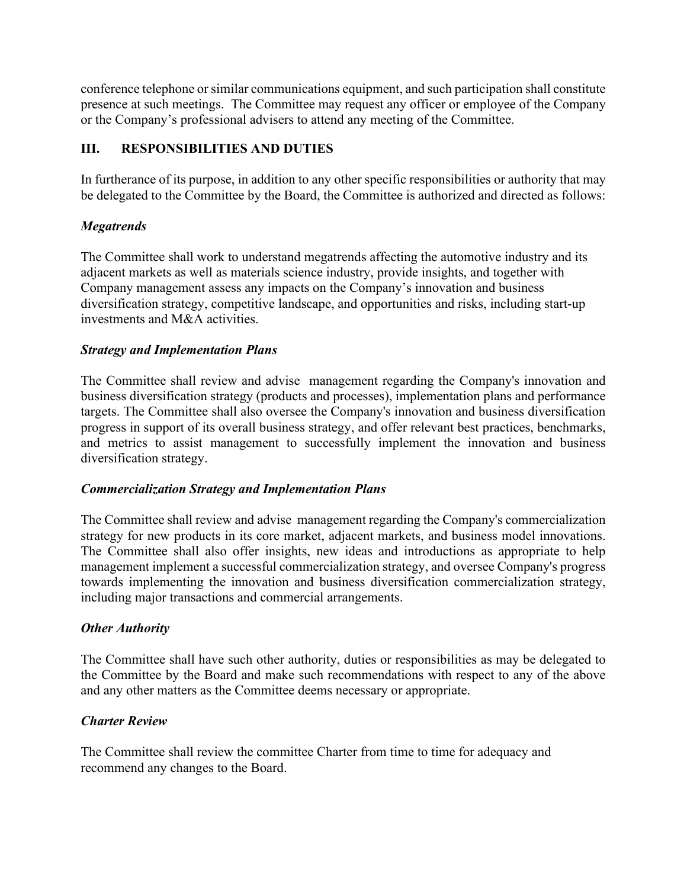conference telephone or similar communications equipment, and such participation shall constitute presence at such meetings. The Committee may request any officer or employee of the Company or the Company's professional advisers to attend any meeting of the Committee.

# **III. RESPONSIBILITIES AND DUTIES**

In furtherance of its purpose, in addition to any other specific responsibilities or authority that may be delegated to the Committee by the Board, the Committee is authorized and directed as follows:

# *Megatrends*

The Committee shall work to understand megatrends affecting the automotive industry and its adjacent markets as well as materials science industry, provide insights, and together with Company management assess any impacts on the Company's innovation and business diversification strategy, competitive landscape, and opportunities and risks, including start-up investments and M&A activities.

## *Strategy and Implementation Plans*

The Committee shall review and advise management regarding the Company's innovation and business diversification strategy (products and processes), implementation plans and performance targets. The Committee shall also oversee the Company's innovation and business diversification progress in support of its overall business strategy, and offer relevant best practices, benchmarks, and metrics to assist management to successfully implement the innovation and business diversification strategy.

## *Commercialization Strategy and Implementation Plans*

The Committee shall review and advise management regarding the Company's commercialization strategy for new products in its core market, adjacent markets, and business model innovations. The Committee shall also offer insights, new ideas and introductions as appropriate to help management implement a successful commercialization strategy, and oversee Company's progress towards implementing the innovation and business diversification commercialization strategy, including major transactions and commercial arrangements.

## *Other Authority*

The Committee shall have such other authority, duties or responsibilities as may be delegated to the Committee by the Board and make such recommendations with respect to any of the above and any other matters as the Committee deems necessary or appropriate.

## *Charter Review*

The Committee shall review the committee Charter from time to time for adequacy and recommend any changes to the Board.